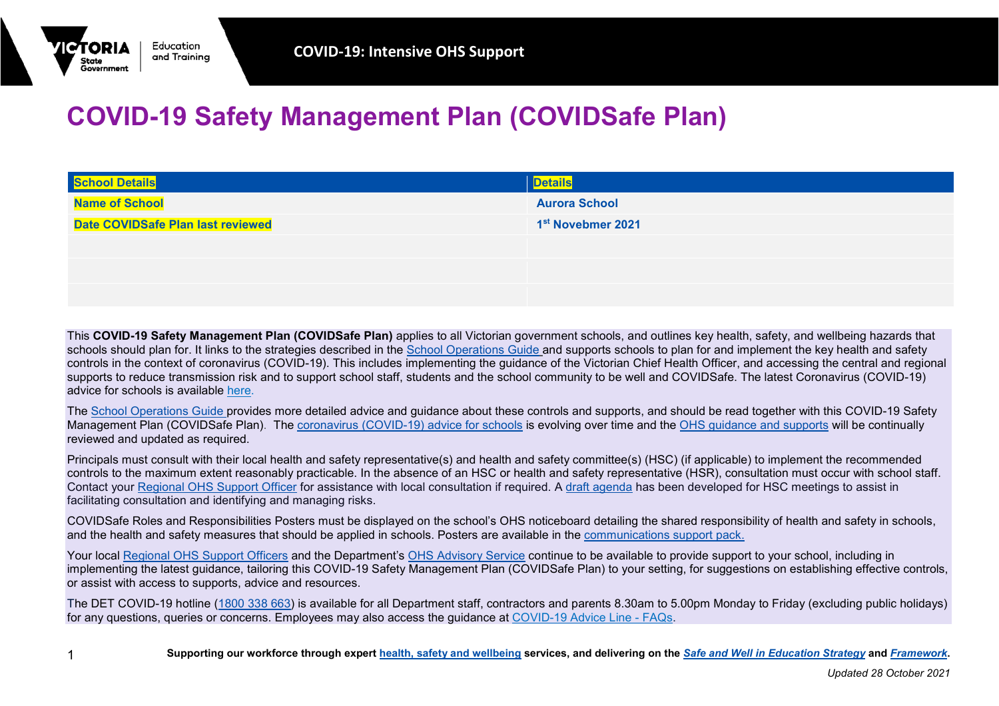## **COVID-19 Safety Management Plan (COVIDSafe Plan)**

| <b>School Details</b>             | <b>Details</b>                |
|-----------------------------------|-------------------------------|
| <b>Name of School</b>             | <b>Aurora School</b>          |
| Date COVIDSafe Plan last reviewed | 1 <sup>st</sup> Novebmer 2021 |
|                                   |                               |
|                                   |                               |
|                                   |                               |

This **COVID-19 Safety Management Plan (COVIDSafe Plan)** applies to all Victorian government schools, and outlines key health, safety, and wellbeing hazards that schools should plan for. It links to the strategies described in the [School Operations Guide](https://edugate.eduweb.vic.gov.au/sites/i/_layouts/15/WopiFrame.aspx?sourcedoc=/sites/i/Shared%20Documents/Coronavirus/School%20Operations%20Guide/school-operations-guide.docx&action=default) and supports schools to plan for and implement the key health and safety controls in the context of coronavirus (COVID-19). This includes implementing the guidance of the Victorian Chief Health Officer, and accessing the central and regional supports to reduce transmission risk and to support school staff, students and the school community to be well and COVIDSafe. The latest Coronavirus (COVID-19) advice for schools is available [here.](https://www.education.vic.gov.au/school/Pages/coronavirus-advice-schools.aspx)

The [School Operations Guide](https://edugate.eduweb.vic.gov.au/sites/i/Pages/school.aspx#/app/content/3336/support_and_service_(schools)%252Fcoronavirus_and_learning_from_home%252Fschool_operations%252Fschool_operations_guide) provides more detailed advice and guidance about these controls and supports, and should be read together with this COVID-19 Safety Management Plan (COVIDSafe Plan). The [coronavirus \(COVID-19\) advice for schools](https://www.education.vic.gov.au/school/Pages/coronavirus-advice-schools.aspx) is evolving over time and the [OHS guidance and supports](https://www2.education.vic.gov.au/pal/occupational-health-and-safety-management-system-ohsms/guidance/covid-19-employee-health) will be continually reviewed and updated as required.

Principals must consult with their local health and safety representative(s) and health and safety committee(s) (HSC) (if applicable) to implement the recommended controls to the maximum extent reasonably practicable. In the absence of an HSC or health and safety representative (HSR), consultation must occur with school staff. Contact your [Regional OHS Support Officer](https://www2.education.vic.gov.au/pal/occupational-health-and-safety-management-system-ohsms/guidance/useful-contacts-schools) for assistance with local consultation if required. A [draft agenda](https://www.education.vic.gov.au/hrweb/Documents/OHS/HealthandSafetyCommitteMeetingAgenda-COVIDandreturntoschool.docx) has been developed for HSC meetings to assist in facilitating consultation and identifying and managing risks.

COVIDSafe Roles and Responsibilities Posters must be displayed on the school's OHS noticeboard detailing the shared responsibility of health and safety in schools, and the health and safety measures that should be applied in schools. Posters are available in the [communications support pack.](https://edugate.eduweb.vic.gov.au/sites/i/Pages/production.aspx#/app/content/3284/)

Your local [Regional OHS Support Officers](https://www2.education.vic.gov.au/pal/occupational-health-and-safety-management-system-ohsms/guidance/useful-contacts-schools) and the Department's [OHS Advisory Service](mailto:safety@education.vic.gov.au) continue to be available to provide support to your school, including in implementing the latest guidance, tailoring this COVID-19 Safety Management Plan (COVIDSafe Plan) to your setting, for suggestions on establishing effective controls, or assist with access to supports, advice and resources.

The DET COVID-19 hotline [\(1800 338 663\)](tel:1800338663) is available for all Department staff, contractors and parents 8.30am to 5.00pm Monday to Friday (excluding public holidays) for any questions, queries or concerns. Employees may also access the guidance at [COVID-19 Advice Line -](https://edugate.eduweb.vic.gov.au/sites/source/SitePages/COVID-19_FAQ.aspx) FAQs.

Education and Trainina

State Government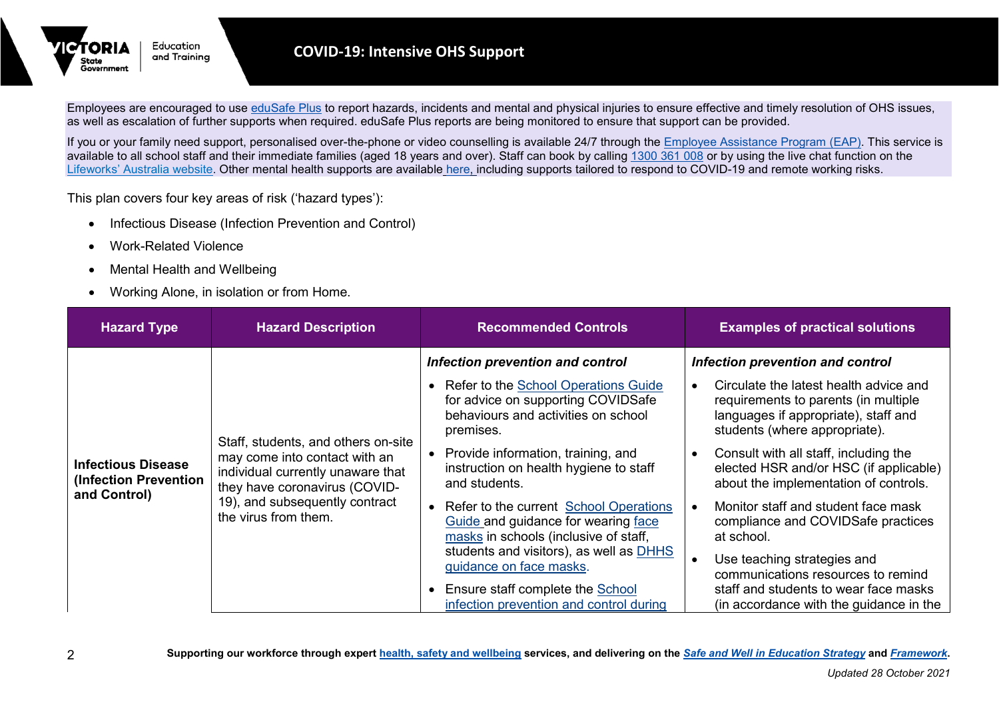

Employees are encouraged to use [eduSafe](https://edusafeplus.educationapps.vic.gov.au/user/dashboard) Plus to report hazards, incidents and mental and physical injuries to ensure effective and timely resolution of OHS issues, as well as escalation of further supports when required. eduSafe Plus reports are being monitored to ensure that support can be provided.

If you or your family need support, personalised over-the-phone or video counselling is available 24/7 through the [Employee Assistance Program \(EAP\).](https://www2.education.vic.gov.au/pal/occupational-health-and-safety-management-system-ohsms/guidance/expert-supports) This service is available to all school staff and their immediate families (aged 18 years and over). Staff can book by calling [1300 361 008](tel:1300361008) or by using the live chat function on the [Lifeworks' Australia website.](https://www.lifeworks.com/au/) Other mental health supports are available [here,](https://www2.education.vic.gov.au/pal/occupational-health-and-safety-management-system-ohsms/guidance/covid-19-employee-health?Redirect=1) including supports tailored to respond to COVID-19 and remote working risks.

This plan covers four key areas of risk ('hazard types'):

- Infectious Disease (Infection Prevention and Control)
- Work-Related Violence
- Mental Health and Wellbeing
- Working Alone, in isolation or from Home.

| <b>Hazard Type</b>                                                                                                                                                                                                                                                         | <b>Hazard Description</b>                                                                       | <b>Recommended Controls</b>                                                                                                      | <b>Examples of practical solutions</b>                                                                                                                  |
|----------------------------------------------------------------------------------------------------------------------------------------------------------------------------------------------------------------------------------------------------------------------------|-------------------------------------------------------------------------------------------------|----------------------------------------------------------------------------------------------------------------------------------|---------------------------------------------------------------------------------------------------------------------------------------------------------|
|                                                                                                                                                                                                                                                                            |                                                                                                 | Infection prevention and control                                                                                                 | Infection prevention and control                                                                                                                        |
| Staff, students, and others on-site<br>may come into contact with an<br><b>Infectious Disease</b><br>individual currently unaware that<br>(Infection Prevention<br>they have coronavirus (COVID-<br>and Control)<br>19), and subsequently contract<br>the virus from them. |                                                                                                 | • Refer to the School Operations Guide<br>for advice on supporting COVIDSafe<br>behaviours and activities on school<br>premises. | Circulate the latest health advice and<br>requirements to parents (in multiple<br>languages if appropriate), staff and<br>students (where appropriate). |
|                                                                                                                                                                                                                                                                            | • Provide information, training, and<br>instruction on health hygiene to staff<br>and students. | Consult with all staff, including the<br>elected HSR and/or HSC (if applicable)<br>about the implementation of controls.         |                                                                                                                                                         |
|                                                                                                                                                                                                                                                                            |                                                                                                 | • Refer to the current School Operations<br>Guide and guidance for wearing face<br>masks in schools (inclusive of staff,         | Monitor staff and student face mask<br>compliance and COVIDSafe practices<br>at school.                                                                 |
|                                                                                                                                                                                                                                                                            |                                                                                                 | students and visitors), as well as DHHS<br>guidance on face masks.<br>Ensure staff complete the School                           | Use teaching strategies and<br>communications resources to remind<br>staff and students to wear face masks                                              |
|                                                                                                                                                                                                                                                                            |                                                                                                 | infection prevention and control during                                                                                          | (in accordance with the guidance in the                                                                                                                 |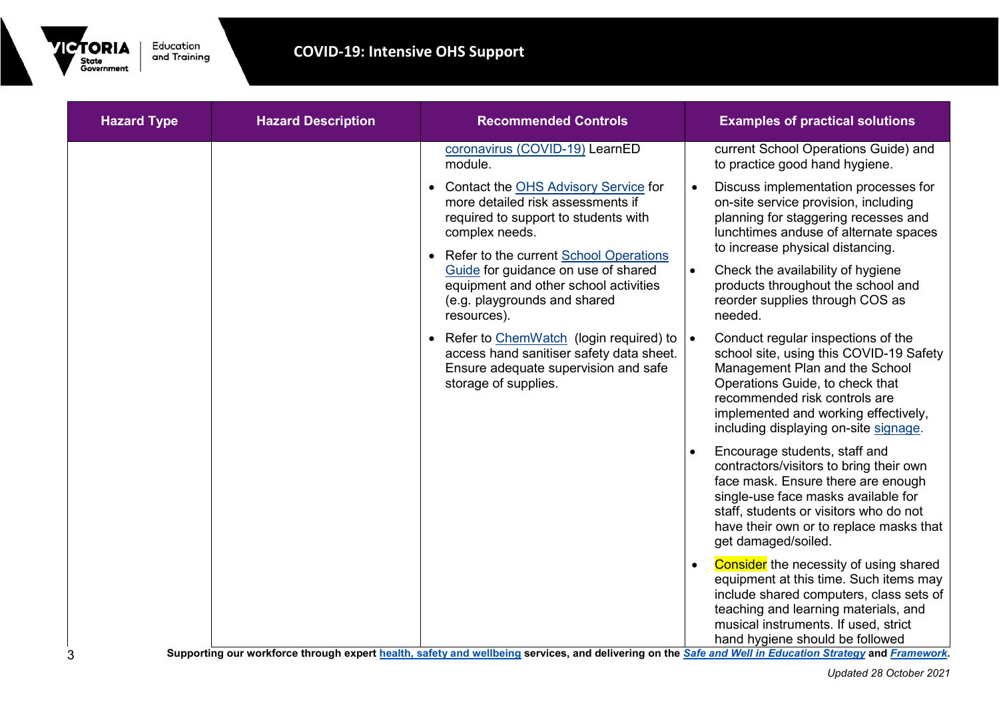

| <b>Hazard Type</b> | <b>Hazard Description</b> | <b>Recommended Controls</b>                                                                                                                                                       | <b>Examples of practical solutions</b>                                                                                                                                                                                                                                            |
|--------------------|---------------------------|-----------------------------------------------------------------------------------------------------------------------------------------------------------------------------------|-----------------------------------------------------------------------------------------------------------------------------------------------------------------------------------------------------------------------------------------------------------------------------------|
|                    |                           | coronavirus (COVID-19) LearnED<br>module.                                                                                                                                         | current School Operations Guide) and<br>to practice good hand hygiene.                                                                                                                                                                                                            |
|                    |                           | • Contact the OHS Advisory Service for<br>more detailed risk assessments if<br>required to support to students with<br>complex needs.<br>• Refer to the current School Operations | Discuss implementation processes for<br>on-site service provision, including<br>planning for staggering recesses and<br>lunchtimes anduse of alternate spaces<br>to increase physical distancing.                                                                                 |
|                    |                           | Guide for guidance on use of shared<br>equipment and other school activities<br>(e.g. playgrounds and shared<br>resources).                                                       | Check the availability of hygiene<br>$\bullet$<br>products throughout the school and<br>reorder supplies through COS as<br>needed.                                                                                                                                                |
|                    |                           | • Refer to ChemWatch (login required) to<br>access hand sanitiser safety data sheet.<br>Ensure adequate supervision and safe<br>storage of supplies.                              | Conduct regular inspections of the<br>$\bullet$<br>school site, using this COVID-19 Safety<br>Management Plan and the School<br>Operations Guide, to check that<br>recommended risk controls are<br>implemented and working effectively,<br>including displaying on-site signage. |
|                    |                           |                                                                                                                                                                                   | Encourage students, staff and<br>contractors/visitors to bring their own<br>face mask. Ensure there are enough<br>single-use face masks available for<br>staff, students or visitors who do not<br>have their own or to replace masks that<br>get damaged/soiled.                 |
|                    |                           |                                                                                                                                                                                   | <b>Consider</b> the necessity of using shared<br>equipment at this time. Such items may<br>include shared computers, class sets of<br>teaching and learning materials, and<br>musical instruments. If used, strict<br>hand hygiene should be followed                             |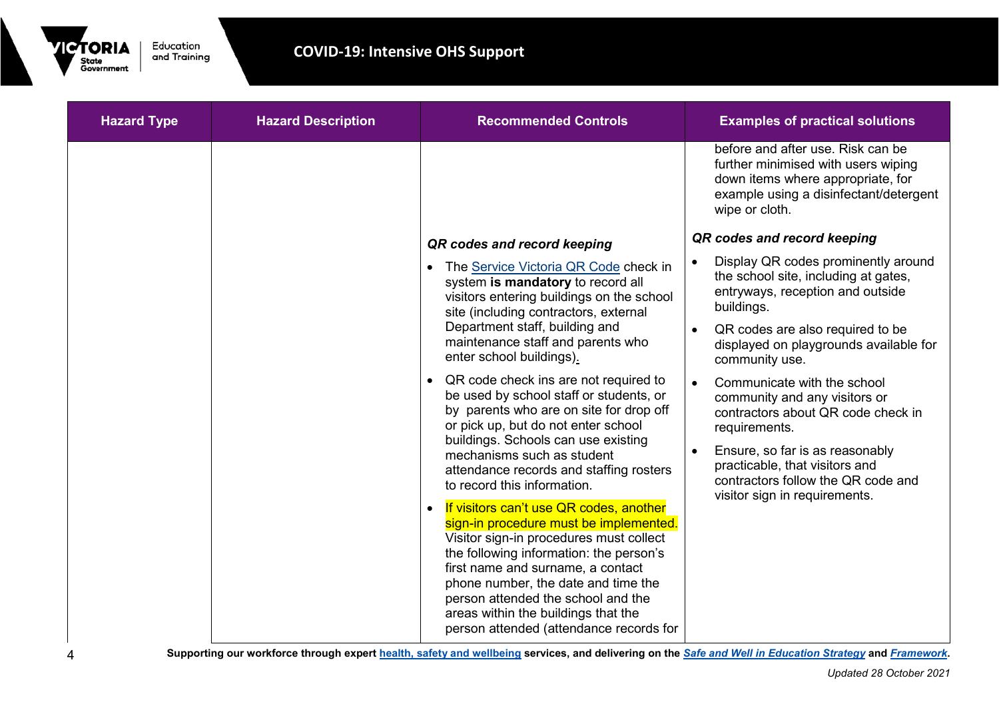

| <b>Hazard Description</b> | <b>Recommended Controls</b>                                                                                                                                                                                                                                                                                                                                                              | <b>Examples of practical solutions</b>                                                                                                                                    |
|---------------------------|------------------------------------------------------------------------------------------------------------------------------------------------------------------------------------------------------------------------------------------------------------------------------------------------------------------------------------------------------------------------------------------|---------------------------------------------------------------------------------------------------------------------------------------------------------------------------|
|                           |                                                                                                                                                                                                                                                                                                                                                                                          | before and after use. Risk can be<br>further minimised with users wiping<br>down items where appropriate, for<br>example using a disinfectant/detergent<br>wipe or cloth. |
|                           | QR codes and record keeping                                                                                                                                                                                                                                                                                                                                                              | QR codes and record keeping                                                                                                                                               |
|                           | The Service Victoria QR Code check in<br>system is mandatory to record all<br>visitors entering buildings on the school                                                                                                                                                                                                                                                                  | Display QR codes prominently around<br>$\bullet$<br>the school site, including at gates,<br>entryways, reception and outside<br>buildings.                                |
|                           | Department staff, building and<br>maintenance staff and parents who<br>enter school buildings).                                                                                                                                                                                                                                                                                          | QR codes are also required to be<br>displayed on playgrounds available for<br>community use.                                                                              |
|                           | QR code check ins are not required to<br>$\bullet$<br>be used by school staff or students, or<br>by parents who are on site for drop off<br>or pick up, but do not enter school                                                                                                                                                                                                          | Communicate with the school<br>$\bullet$<br>community and any visitors or<br>contractors about QR code check in<br>requirements.                                          |
|                           | buildings. Schools can use existing<br>mechanisms such as student<br>attendance records and staffing rosters<br>to record this information.                                                                                                                                                                                                                                              | Ensure, so far is as reasonably<br>$\bullet$<br>practicable, that visitors and<br>contractors follow the QR code and                                                      |
|                           | If visitors can't use QR codes, another<br>$\bullet$<br>sign-in procedure must be implemented.<br>Visitor sign-in procedures must collect<br>the following information: the person's<br>first name and surname, a contact<br>phone number, the date and time the<br>person attended the school and the<br>areas within the buildings that the<br>person attended (attendance records for | visitor sign in requirements.                                                                                                                                             |
|                           |                                                                                                                                                                                                                                                                                                                                                                                          | site (including contractors, external                                                                                                                                     |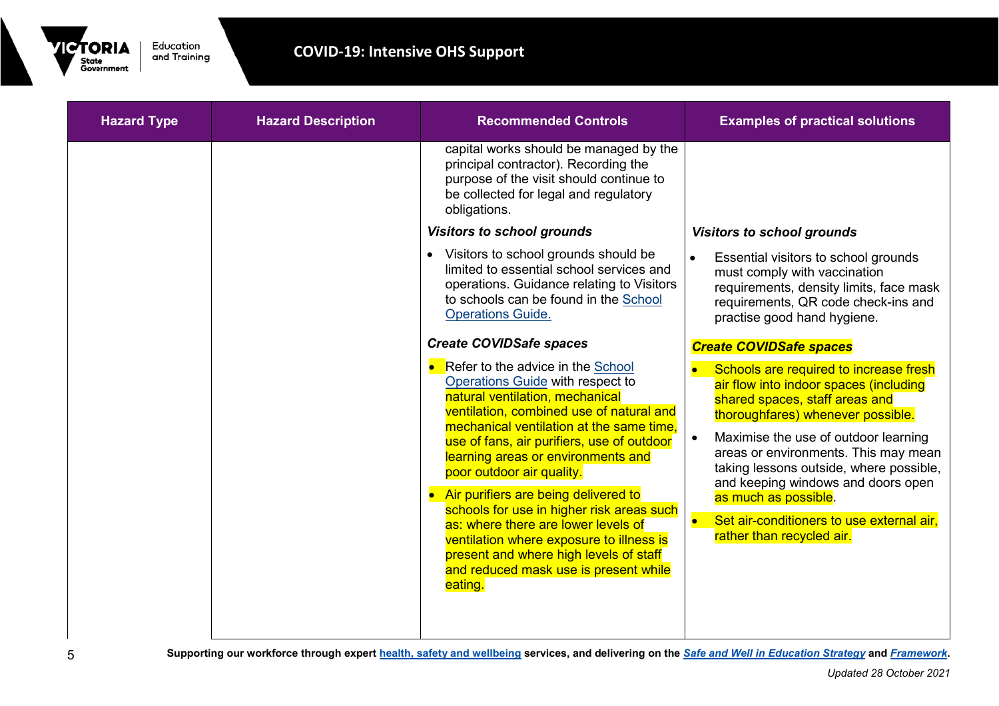

| <b>Hazard Type</b> | <b>Hazard Description</b> | <b>Recommended Controls</b>                                                                                                                                                                                                                                                                                                                                                                                                                                                                                                                                                             | <b>Examples of practical solutions</b>                                                                                                                                                                                                                                                                                                                                                                                                  |
|--------------------|---------------------------|-----------------------------------------------------------------------------------------------------------------------------------------------------------------------------------------------------------------------------------------------------------------------------------------------------------------------------------------------------------------------------------------------------------------------------------------------------------------------------------------------------------------------------------------------------------------------------------------|-----------------------------------------------------------------------------------------------------------------------------------------------------------------------------------------------------------------------------------------------------------------------------------------------------------------------------------------------------------------------------------------------------------------------------------------|
|                    |                           | capital works should be managed by the<br>principal contractor). Recording the<br>purpose of the visit should continue to<br>be collected for legal and regulatory<br>obligations.                                                                                                                                                                                                                                                                                                                                                                                                      |                                                                                                                                                                                                                                                                                                                                                                                                                                         |
|                    |                           | <b>Visitors to school grounds</b>                                                                                                                                                                                                                                                                                                                                                                                                                                                                                                                                                       | <b>Visitors to school grounds</b>                                                                                                                                                                                                                                                                                                                                                                                                       |
|                    |                           | • Visitors to school grounds should be<br>limited to essential school services and<br>operations. Guidance relating to Visitors<br>to schools can be found in the School<br><b>Operations Guide.</b>                                                                                                                                                                                                                                                                                                                                                                                    | Essential visitors to school grounds<br>must comply with vaccination<br>requirements, density limits, face mask<br>requirements, QR code check-ins and<br>practise good hand hygiene.                                                                                                                                                                                                                                                   |
|                    |                           | <b>Create COVIDSafe spaces</b>                                                                                                                                                                                                                                                                                                                                                                                                                                                                                                                                                          | <b>Create COVIDSafe spaces</b>                                                                                                                                                                                                                                                                                                                                                                                                          |
|                    |                           | Refer to the advice in the School<br>Operations Guide with respect to<br>natural ventilation, mechanical<br>ventilation, combined use of natural and<br>mechanical ventilation at the same time.<br>use of fans, air purifiers, use of outdoor<br>learning areas or environments and<br>poor outdoor air quality.<br>Air purifiers are being delivered to<br>schools for use in higher risk areas such<br>as: where there are lower levels of<br>ventilation where exposure to illness is<br>present and where high levels of staff<br>and reduced mask use is present while<br>eating. | Schools are required to increase fresh<br>air flow into indoor spaces (including<br>shared spaces, staff areas and<br>thoroughfares) whenever possible.<br>Maximise the use of outdoor learning<br>areas or environments. This may mean<br>taking lessons outside, where possible,<br>and keeping windows and doors open<br>as much as possible.<br>Set air-conditioners to use external air,<br>$\bullet$<br>rather than recycled air. |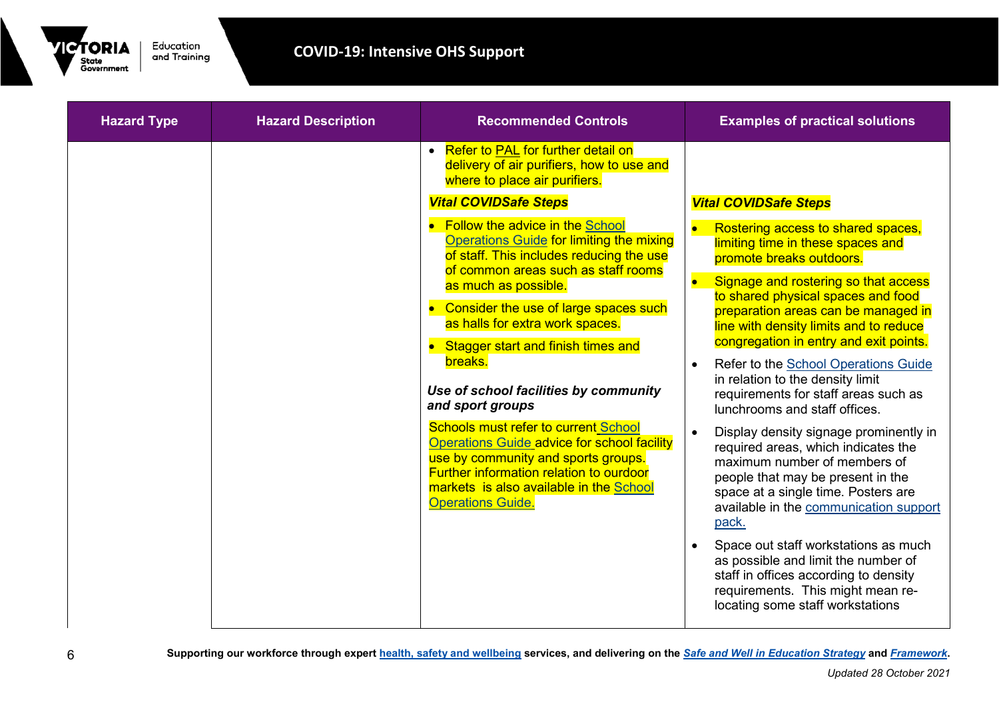

| <b>Hazard Type</b> | <b>Hazard Description</b> | <b>Recommended Controls</b>                                                                                                                                                                                                                                                                                                                                                                                                                                                                                                                                                                                                                                                                                                                                                                          | <b>Examples of practical solutions</b>                                                                                                                                                                                                                                                                                                                                                                                                                                                                                                                                                                                                                                                                      |
|--------------------|---------------------------|------------------------------------------------------------------------------------------------------------------------------------------------------------------------------------------------------------------------------------------------------------------------------------------------------------------------------------------------------------------------------------------------------------------------------------------------------------------------------------------------------------------------------------------------------------------------------------------------------------------------------------------------------------------------------------------------------------------------------------------------------------------------------------------------------|-------------------------------------------------------------------------------------------------------------------------------------------------------------------------------------------------------------------------------------------------------------------------------------------------------------------------------------------------------------------------------------------------------------------------------------------------------------------------------------------------------------------------------------------------------------------------------------------------------------------------------------------------------------------------------------------------------------|
|                    |                           | • Refer to <b>PAL</b> for further detail on<br>delivery of air purifiers, how to use and<br>where to place air purifiers.<br><b>Vital COVIDSafe Steps</b><br><b>Follow the advice in the School</b><br><b>Operations Guide for limiting the mixing</b><br>of staff. This includes reducing the use<br>of common areas such as staff rooms<br>as much as possible.<br>Consider the use of large spaces such<br>as halls for extra work spaces.<br>Stagger start and finish times and<br>breaks.<br>Use of school facilities by community<br>and sport groups<br><b>Schools must refer to current School</b><br><b>Operations Guide advice for school facility</b><br>use by community and sports groups.<br><b>Further information relation to ourdoor</b><br>markets is also available in the School | <b>Vital COVIDSafe Steps</b><br>Rostering access to shared spaces,<br>limiting time in these spaces and<br>promote breaks outdoors.<br>Signage and rostering so that access<br>to shared physical spaces and food<br>preparation areas can be managed in<br>line with density limits and to reduce<br>congregation in entry and exit points.<br>Refer to the School Operations Guide<br>$\bullet$<br>in relation to the density limit<br>requirements for staff areas such as<br>lunchrooms and staff offices.<br>Display density signage prominently in<br>required areas, which indicates the<br>maximum number of members of<br>people that may be present in the<br>space at a single time. Posters are |
|                    |                           | <b>Operations Guide.</b>                                                                                                                                                                                                                                                                                                                                                                                                                                                                                                                                                                                                                                                                                                                                                                             | available in the communication support<br>pack.<br>Space out staff workstations as much<br>as possible and limit the number of<br>staff in offices according to density<br>requirements. This might mean re-<br>locating some staff workstations                                                                                                                                                                                                                                                                                                                                                                                                                                                            |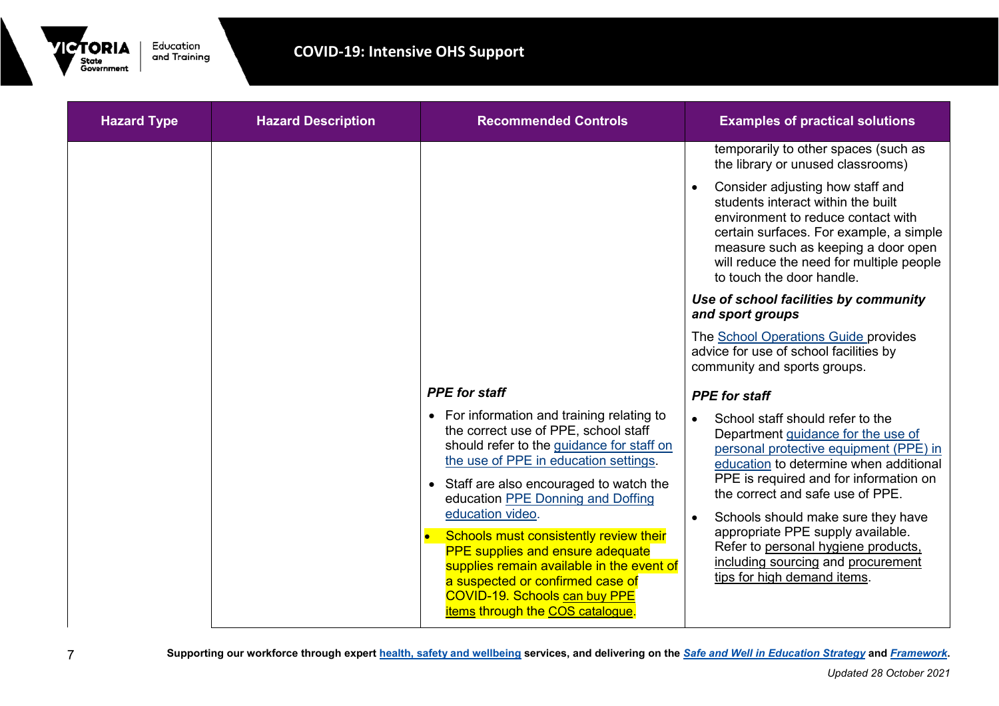

| <b>Hazard Type</b> | <b>Hazard Description</b> | <b>Recommended Controls</b>                                                                                                                                                                                                                                                                                                                                                                                                                                                                                                     | <b>Examples of practical solutions</b>                                                                                                                                                                                                                                                                                                                                                                                          |
|--------------------|---------------------------|---------------------------------------------------------------------------------------------------------------------------------------------------------------------------------------------------------------------------------------------------------------------------------------------------------------------------------------------------------------------------------------------------------------------------------------------------------------------------------------------------------------------------------|---------------------------------------------------------------------------------------------------------------------------------------------------------------------------------------------------------------------------------------------------------------------------------------------------------------------------------------------------------------------------------------------------------------------------------|
|                    |                           |                                                                                                                                                                                                                                                                                                                                                                                                                                                                                                                                 | temporarily to other spaces (such as<br>the library or unused classrooms)                                                                                                                                                                                                                                                                                                                                                       |
|                    |                           |                                                                                                                                                                                                                                                                                                                                                                                                                                                                                                                                 | Consider adjusting how staff and<br>students interact within the built<br>environment to reduce contact with<br>certain surfaces. For example, a simple<br>measure such as keeping a door open<br>will reduce the need for multiple people<br>to touch the door handle.                                                                                                                                                         |
|                    |                           |                                                                                                                                                                                                                                                                                                                                                                                                                                                                                                                                 | Use of school facilities by community<br>and sport groups                                                                                                                                                                                                                                                                                                                                                                       |
|                    |                           |                                                                                                                                                                                                                                                                                                                                                                                                                                                                                                                                 | The <b>School Operations Guide provides</b><br>advice for use of school facilities by<br>community and sports groups.                                                                                                                                                                                                                                                                                                           |
|                    |                           | <b>PPE</b> for staff                                                                                                                                                                                                                                                                                                                                                                                                                                                                                                            | <b>PPE</b> for staff                                                                                                                                                                                                                                                                                                                                                                                                            |
|                    |                           | • For information and training relating to<br>the correct use of PPE, school staff<br>should refer to the guidance for staff on<br>the use of PPE in education settings.<br>• Staff are also encouraged to watch the<br>education PPE Donning and Doffing<br>education video.<br>Schools must consistently review their<br><b>PPE</b> supplies and ensure adequate<br>supplies remain available in the event of<br>a suspected or confirmed case of<br><b>COVID-19. Schools can buy PPE</b><br>items through the COS catalogue. | School staff should refer to the<br>Department guidance for the use of<br>personal protective equipment (PPE) in<br>education to determine when additional<br>PPE is required and for information on<br>the correct and safe use of PPE.<br>Schools should make sure they have<br>appropriate PPE supply available.<br>Refer to personal hygiene products,<br>including sourcing and procurement<br>tips for high demand items. |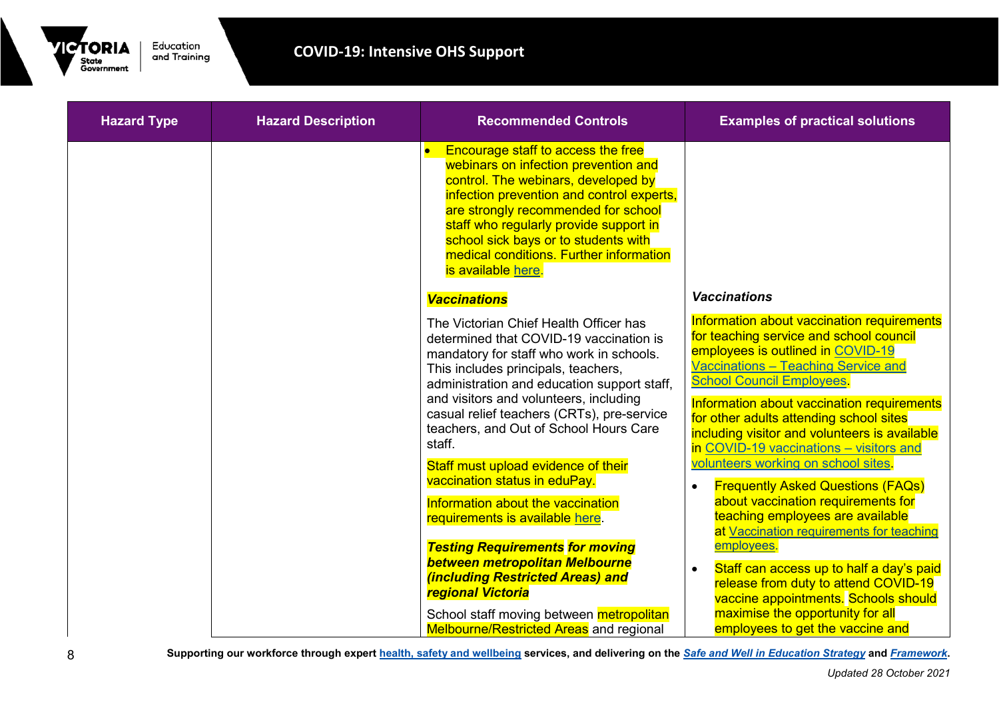

| <b>Hazard Type</b> | <b>Hazard Description</b> | <b>Recommended Controls</b>                                                                                                                                                                                                                                                                                                                                     | <b>Examples of practical solutions</b>                                                                                                                                                                                                                                                                                                                                                    |
|--------------------|---------------------------|-----------------------------------------------------------------------------------------------------------------------------------------------------------------------------------------------------------------------------------------------------------------------------------------------------------------------------------------------------------------|-------------------------------------------------------------------------------------------------------------------------------------------------------------------------------------------------------------------------------------------------------------------------------------------------------------------------------------------------------------------------------------------|
|                    |                           | <b>Encourage staff to access the free</b><br>webinars on infection prevention and<br>control. The webinars, developed by<br>infection prevention and control experts,<br>are strongly recommended for school<br>staff who regularly provide support in<br>school sick bays or to students with<br>medical conditions. Further information<br>is available here. |                                                                                                                                                                                                                                                                                                                                                                                           |
|                    |                           | <b>Vaccinations</b>                                                                                                                                                                                                                                                                                                                                             | <b>Vaccinations</b>                                                                                                                                                                                                                                                                                                                                                                       |
|                    |                           | The Victorian Chief Health Officer has<br>determined that COVID-19 vaccination is<br>mandatory for staff who work in schools.<br>This includes principals, teachers,<br>administration and education support staff,<br>and visitors and volunteers, including<br>casual relief teachers (CRTs), pre-service<br>teachers, and Out of School Hours Care<br>staff. | Information about vaccination requirements<br>for teaching service and school council<br>employees is outlined in COVID-19<br>Vaccinations - Teaching Service and<br><b>School Council Employees</b><br>Information about vaccination requirements<br>for other adults attending school sites<br>including visitor and volunteers is available<br>in COVID-19 vaccinations - visitors and |
|                    |                           | Staff must upload evidence of their<br>vaccination status in eduPay.                                                                                                                                                                                                                                                                                            | volunteers working on school sites.<br><b>Frequently Asked Questions (FAQs)</b>                                                                                                                                                                                                                                                                                                           |
|                    |                           | Information about the vaccination<br>requirements is available here.                                                                                                                                                                                                                                                                                            | about vaccination requirements for<br>teaching employees are available<br>at Vaccination requirements for teaching                                                                                                                                                                                                                                                                        |
|                    |                           | <b>Testing Requirements for moving</b><br>between metropolitan Melbourne<br>(including Restricted Areas) and<br>regional Victoria                                                                                                                                                                                                                               | employees.<br>Staff can access up to half a day's paid<br>release from duty to attend COVID-19<br>vaccine appointments. Schools should                                                                                                                                                                                                                                                    |
|                    |                           | School staff moving between metropolitan<br><b>Melbourne/Restricted Areas</b> and regional                                                                                                                                                                                                                                                                      | maximise the opportunity for all<br>employees to get the vaccine and                                                                                                                                                                                                                                                                                                                      |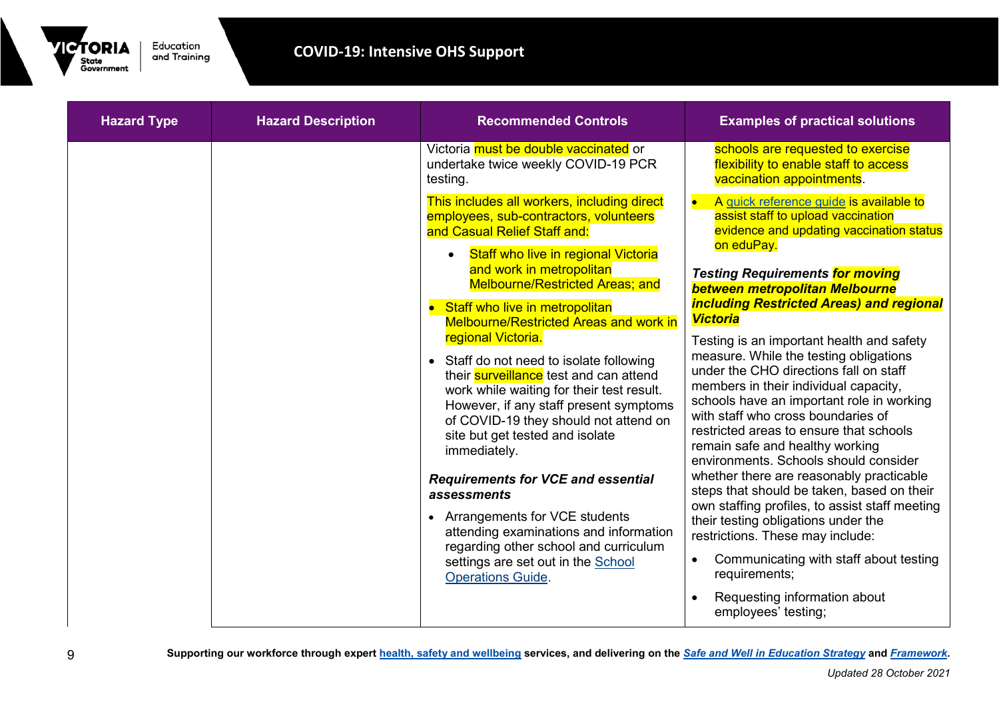

| <b>Hazard Type</b> | <b>Hazard Description</b> | <b>Recommended Controls</b>                                                                                                                                                                                                                                                                                                                                                                                                          | <b>Examples of practical solutions</b>                                                                                                                                                                                                                                                                                                                                                                                                                                                                                                           |
|--------------------|---------------------------|--------------------------------------------------------------------------------------------------------------------------------------------------------------------------------------------------------------------------------------------------------------------------------------------------------------------------------------------------------------------------------------------------------------------------------------|--------------------------------------------------------------------------------------------------------------------------------------------------------------------------------------------------------------------------------------------------------------------------------------------------------------------------------------------------------------------------------------------------------------------------------------------------------------------------------------------------------------------------------------------------|
|                    |                           | Victoria must be double vaccinated or<br>undertake twice weekly COVID-19 PCR<br>testing.                                                                                                                                                                                                                                                                                                                                             | schools are requested to exercise<br>flexibility to enable staff to access<br>vaccination appointments.                                                                                                                                                                                                                                                                                                                                                                                                                                          |
|                    |                           | This includes all workers, including direct<br>employees, sub-contractors, volunteers<br>and Casual Relief Staff and:                                                                                                                                                                                                                                                                                                                | A quick reference guide is available to<br>assist staff to upload vaccination<br>evidence and updating vaccination status                                                                                                                                                                                                                                                                                                                                                                                                                        |
|                    |                           | <b>Staff who live in regional Victoria</b><br>$\bullet$<br>and work in metropolitan<br><b>Melbourne/Restricted Areas; and</b>                                                                                                                                                                                                                                                                                                        | on eduPay.<br><b>Testing Requirements for moving</b><br>between metropolitan Melbourne                                                                                                                                                                                                                                                                                                                                                                                                                                                           |
|                    |                           | • Staff who live in metropolitan<br><b>Melbourne/Restricted Areas and work in</b><br>regional Victoria.<br>• Staff do not need to isolate following<br>their <b>surveillance</b> test and can attend<br>work while waiting for their test result.<br>However, if any staff present symptoms<br>of COVID-19 they should not attend on<br>site but get tested and isolate<br>immediately.<br><b>Requirements for VCE and essential</b> | <b>including Restricted Areas) and regional</b><br><b>Victoria</b><br>Testing is an important health and safety<br>measure. While the testing obligations<br>under the CHO directions fall on staff<br>members in their individual capacity,<br>schools have an important role in working<br>with staff who cross boundaries of<br>restricted areas to ensure that schools<br>remain safe and healthy working<br>environments. Schools should consider<br>whether there are reasonably practicable<br>steps that should be taken, based on their |
|                    |                           | assessments<br>• Arrangements for VCE students<br>attending examinations and information<br>regarding other school and curriculum<br>settings are set out in the School<br><b>Operations Guide.</b>                                                                                                                                                                                                                                  | own staffing profiles, to assist staff meeting<br>their testing obligations under the<br>restrictions. These may include:<br>Communicating with staff about testing<br>requirements;<br>Requesting information about                                                                                                                                                                                                                                                                                                                             |
|                    |                           |                                                                                                                                                                                                                                                                                                                                                                                                                                      | employees' testing;                                                                                                                                                                                                                                                                                                                                                                                                                                                                                                                              |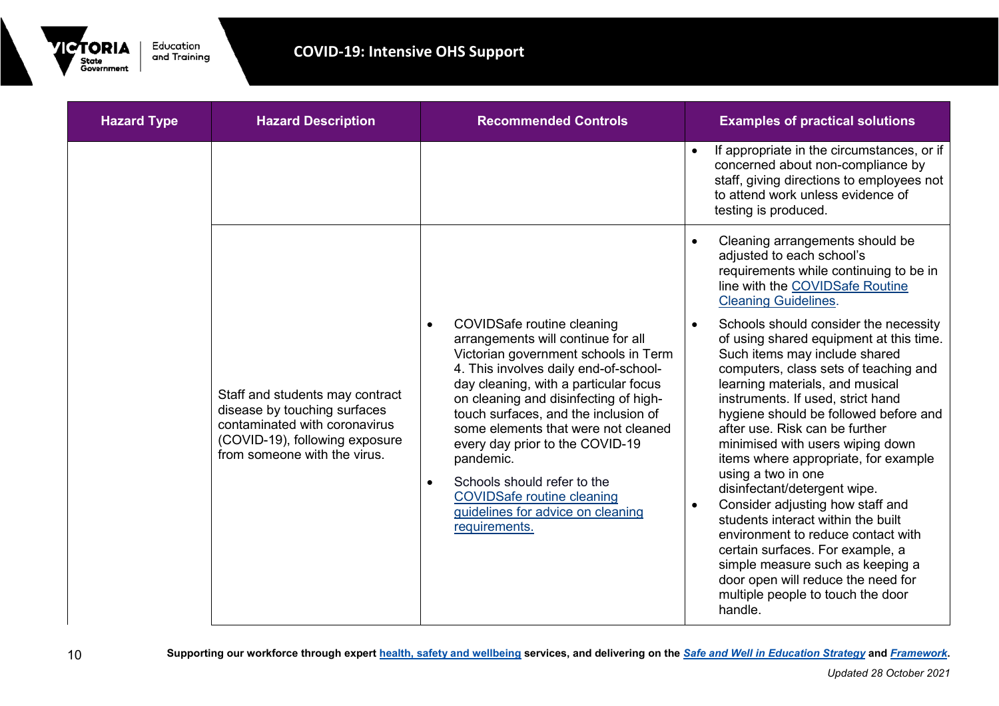

| <b>Hazard Type</b> | <b>Hazard Description</b>                                                                                                                                          | <b>Recommended Controls</b>                                                                                                                                                                                                                                                                                                                                                                                                                                                                                                   | <b>Examples of practical solutions</b>                                                                                                                                                                                                                                                                                                                                                                                                                                                                                                                                                                                                                                                                                                                                                                                                                                                                    |
|--------------------|--------------------------------------------------------------------------------------------------------------------------------------------------------------------|-------------------------------------------------------------------------------------------------------------------------------------------------------------------------------------------------------------------------------------------------------------------------------------------------------------------------------------------------------------------------------------------------------------------------------------------------------------------------------------------------------------------------------|-----------------------------------------------------------------------------------------------------------------------------------------------------------------------------------------------------------------------------------------------------------------------------------------------------------------------------------------------------------------------------------------------------------------------------------------------------------------------------------------------------------------------------------------------------------------------------------------------------------------------------------------------------------------------------------------------------------------------------------------------------------------------------------------------------------------------------------------------------------------------------------------------------------|
|                    |                                                                                                                                                                    |                                                                                                                                                                                                                                                                                                                                                                                                                                                                                                                               | If appropriate in the circumstances, or if<br>concerned about non-compliance by<br>staff, giving directions to employees not<br>to attend work unless evidence of<br>testing is produced.                                                                                                                                                                                                                                                                                                                                                                                                                                                                                                                                                                                                                                                                                                                 |
|                    | Staff and students may contract<br>disease by touching surfaces<br>contaminated with coronavirus<br>(COVID-19), following exposure<br>from someone with the virus. | <b>COVIDSafe routine cleaning</b><br>$\bullet$<br>arrangements will continue for all<br>Victorian government schools in Term<br>4. This involves daily end-of-school-<br>day cleaning, with a particular focus<br>on cleaning and disinfecting of high-<br>touch surfaces, and the inclusion of<br>some elements that were not cleaned<br>every day prior to the COVID-19<br>pandemic.<br>Schools should refer to the<br>$\bullet$<br><b>COVIDSafe routine cleaning</b><br>guidelines for advice on cleaning<br>requirements. | Cleaning arrangements should be<br>adjusted to each school's<br>requirements while continuing to be in<br>line with the COVIDSafe Routine<br><b>Cleaning Guidelines.</b><br>Schools should consider the necessity<br>of using shared equipment at this time.<br>Such items may include shared<br>computers, class sets of teaching and<br>learning materials, and musical<br>instruments. If used, strict hand<br>hygiene should be followed before and<br>after use. Risk can be further<br>minimised with users wiping down<br>items where appropriate, for example<br>using a two in one<br>disinfectant/detergent wipe.<br>Consider adjusting how staff and<br>students interact within the built<br>environment to reduce contact with<br>certain surfaces. For example, a<br>simple measure such as keeping a<br>door open will reduce the need for<br>multiple people to touch the door<br>handle. |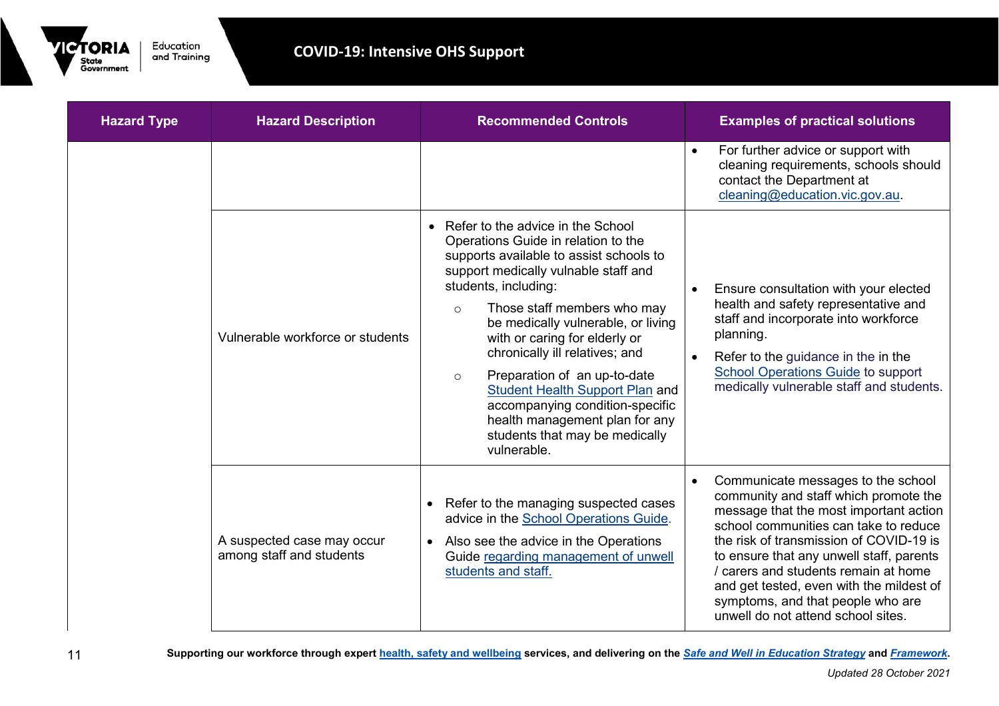

| <b>Hazard Type</b> | <b>Hazard Description</b>                              | <b>Recommended Controls</b>                                                                                                                                                                                                                                                                                                                                                                                                                                                                                                                         | <b>Examples of practical solutions</b>                                                                                                                                                                                                                                                                                                                                                                               |
|--------------------|--------------------------------------------------------|-----------------------------------------------------------------------------------------------------------------------------------------------------------------------------------------------------------------------------------------------------------------------------------------------------------------------------------------------------------------------------------------------------------------------------------------------------------------------------------------------------------------------------------------------------|----------------------------------------------------------------------------------------------------------------------------------------------------------------------------------------------------------------------------------------------------------------------------------------------------------------------------------------------------------------------------------------------------------------------|
|                    |                                                        |                                                                                                                                                                                                                                                                                                                                                                                                                                                                                                                                                     | For further advice or support with<br>cleaning requirements, schools should<br>contact the Department at<br>cleaning@education.vic.gov.au.                                                                                                                                                                                                                                                                           |
|                    | Vulnerable workforce or students                       | • Refer to the advice in the School<br>Operations Guide in relation to the<br>supports available to assist schools to<br>support medically vulnable staff and<br>students, including:<br>Those staff members who may<br>$\circ$<br>be medically vulnerable, or living<br>with or caring for elderly or<br>chronically ill relatives; and<br>Preparation of an up-to-date<br>$\circ$<br><b>Student Health Support Plan and</b><br>accompanying condition-specific<br>health management plan for any<br>students that may be medically<br>vulnerable. | Ensure consultation with your elected<br>$\bullet$<br>health and safety representative and<br>staff and incorporate into workforce<br>planning.<br>Refer to the guidance in the in the<br><b>School Operations Guide to support</b><br>medically vulnerable staff and students.                                                                                                                                      |
|                    | A suspected case may occur<br>among staff and students | Refer to the managing suspected cases<br>advice in the School Operations Guide.<br>Also see the advice in the Operations<br>Guide regarding management of unwell<br>students and staff.                                                                                                                                                                                                                                                                                                                                                             | Communicate messages to the school<br>community and staff which promote the<br>message that the most important action<br>school communities can take to reduce<br>the risk of transmission of COVID-19 is<br>to ensure that any unwell staff, parents<br>/ carers and students remain at home<br>and get tested, even with the mildest of<br>symptoms, and that people who are<br>unwell do not attend school sites. |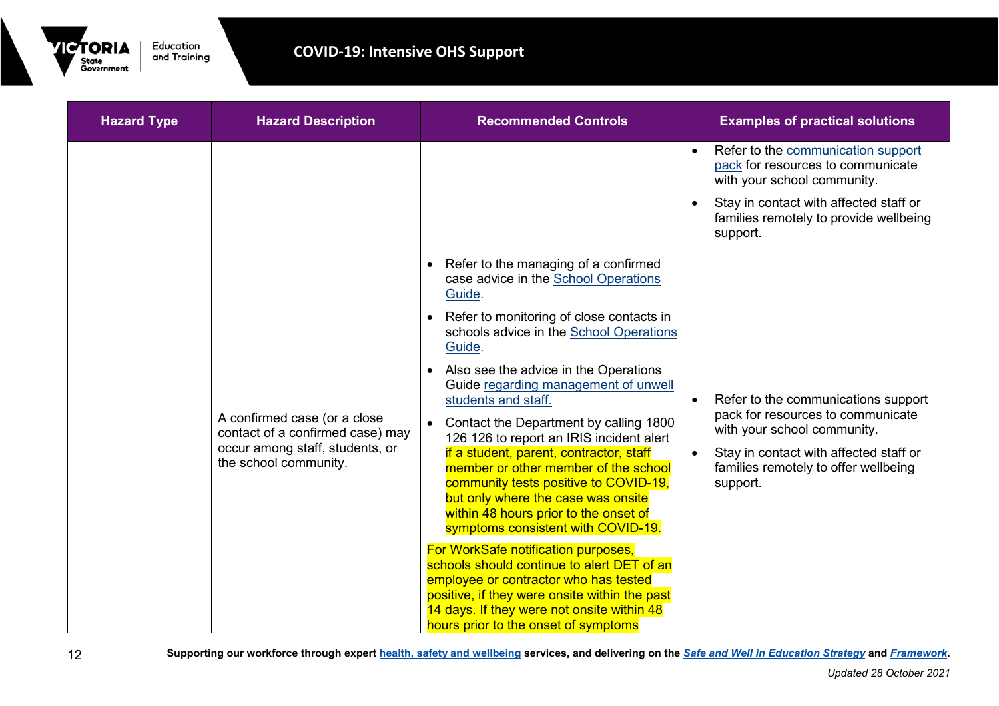

| <b>Hazard Type</b>    | <b>Hazard Description</b>                                                                                                                                                                                                                     | <b>Recommended Controls</b>                                                                                                          | <b>Examples of practical solutions</b>                                                                              |
|-----------------------|-----------------------------------------------------------------------------------------------------------------------------------------------------------------------------------------------------------------------------------------------|--------------------------------------------------------------------------------------------------------------------------------------|---------------------------------------------------------------------------------------------------------------------|
|                       |                                                                                                                                                                                                                                               |                                                                                                                                      | Refer to the communication support<br>$\bullet$<br>pack for resources to communicate<br>with your school community. |
|                       |                                                                                                                                                                                                                                               |                                                                                                                                      | Stay in contact with affected staff or<br>families remotely to provide wellbeing<br>support.                        |
|                       |                                                                                                                                                                                                                                               | Refer to the managing of a confirmed<br>case advice in the School Operations<br>Guide.                                               |                                                                                                                     |
|                       |                                                                                                                                                                                                                                               | Refer to monitoring of close contacts in<br>schools advice in the School Operations<br>Guide.                                        |                                                                                                                     |
|                       | A confirmed case (or a close<br>contact of a confirmed case) may<br>occur among staff, students, or                                                                                                                                           | Also see the advice in the Operations<br>Guide regarding management of unwell<br>students and staff.                                 | Refer to the communications support<br>$\bullet$                                                                    |
|                       |                                                                                                                                                                                                                                               | Contact the Department by calling 1800<br>126 126 to report an IRIS incident alert                                                   | pack for resources to communicate<br>with your school community.                                                    |
| the school community. | if a student, parent, contractor, staff<br>member or other member of the school<br>community tests positive to COVID-19,<br>but only where the case was onsite<br>within 48 hours prior to the onset of<br>symptoms consistent with COVID-19. | Stay in contact with affected staff or<br>$\bullet$<br>families remotely to offer wellbeing<br>support.                              |                                                                                                                     |
|                       | For WorkSafe notification purposes,<br>schools should continue to alert DET of an                                                                                                                                                             |                                                                                                                                      |                                                                                                                     |
|                       |                                                                                                                                                                                                                                               | employee or contractor who has tested<br>positive, if they were onsite within the past<br>14 days. If they were not onsite within 48 |                                                                                                                     |
|                       |                                                                                                                                                                                                                                               | hours prior to the onset of symptoms                                                                                                 |                                                                                                                     |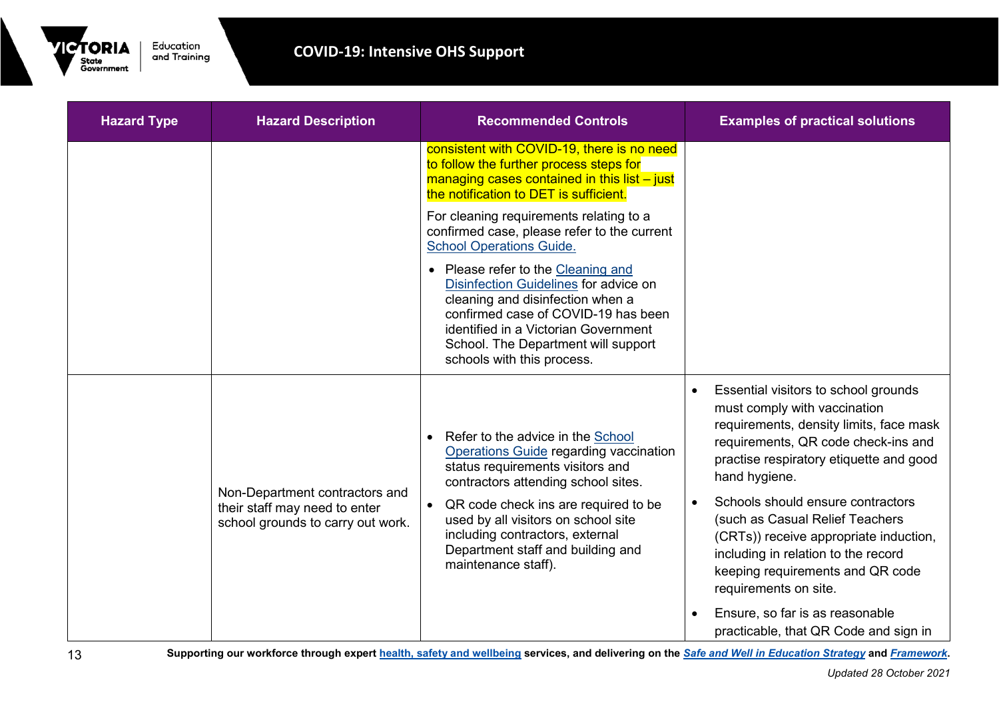

| <b>Hazard Type</b> | <b>Hazard Description</b>                                                                            | <b>Recommended Controls</b>                                                                                                                                                                                                                                         | <b>Examples of practical solutions</b>                                                                                                                                                                             |
|--------------------|------------------------------------------------------------------------------------------------------|---------------------------------------------------------------------------------------------------------------------------------------------------------------------------------------------------------------------------------------------------------------------|--------------------------------------------------------------------------------------------------------------------------------------------------------------------------------------------------------------------|
|                    |                                                                                                      | consistent with COVID-19, there is no need<br>to follow the further process steps for<br>managing cases contained in this list $-$ just<br>the notification to DET is sufficient.                                                                                   |                                                                                                                                                                                                                    |
|                    |                                                                                                      | For cleaning requirements relating to a<br>confirmed case, please refer to the current<br><b>School Operations Guide.</b>                                                                                                                                           |                                                                                                                                                                                                                    |
|                    |                                                                                                      | • Please refer to the Cleaning and<br>Disinfection Guidelines for advice on<br>cleaning and disinfection when a<br>confirmed case of COVID-19 has been<br>identified in a Victorian Government<br>School. The Department will support<br>schools with this process. |                                                                                                                                                                                                                    |
|                    | Non-Department contractors and<br>their staff may need to enter<br>school grounds to carry out work. | Refer to the advice in the School<br>$\bullet$<br><b>Operations Guide regarding vaccination</b><br>status requirements visitors and<br>contractors attending school sites.                                                                                          | Essential visitors to school grounds<br>must comply with vaccination<br>requirements, density limits, face mask<br>requirements, QR code check-ins and<br>practise respiratory etiquette and good<br>hand hygiene. |
|                    |                                                                                                      | QR code check ins are required to be<br>used by all visitors on school site<br>including contractors, external<br>Department staff and building and<br>maintenance staff).                                                                                          | Schools should ensure contractors<br>(such as Casual Relief Teachers<br>(CRTs)) receive appropriate induction,<br>including in relation to the record<br>keeping requirements and QR code<br>requirements on site. |
|                    |                                                                                                      |                                                                                                                                                                                                                                                                     | Ensure, so far is as reasonable<br>practicable, that QR Code and sign in                                                                                                                                           |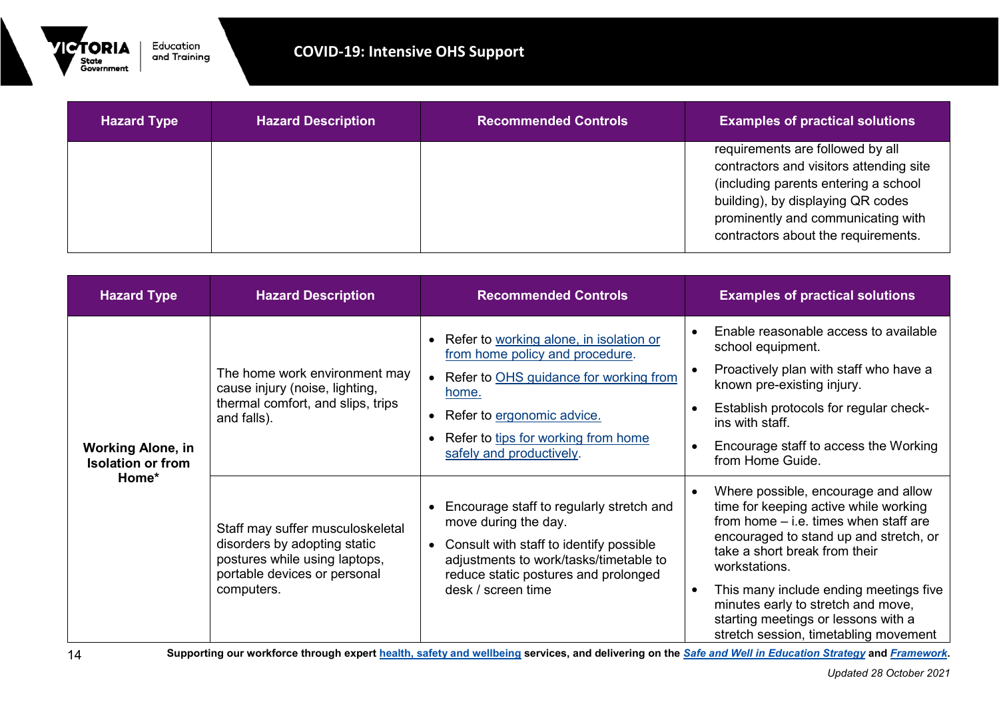

| <b>Hazard Type</b> | <b>Hazard Description</b> | <b>Recommended Controls</b> | <b>Examples of practical solutions</b>                                                                                                                                                                                                |
|--------------------|---------------------------|-----------------------------|---------------------------------------------------------------------------------------------------------------------------------------------------------------------------------------------------------------------------------------|
|                    |                           |                             | requirements are followed by all<br>contractors and visitors attending site<br>(including parents entering a school<br>building), by displaying QR codes<br>prominently and communicating with<br>contractors about the requirements. |

| <b>Hazard Type</b>                                            | <b>Hazard Description</b>                                                                                                                       | <b>Recommended Controls</b>                                                                                                                                                                                                                   | <b>Examples of practical solutions</b>                                                                                                                                                                                                                                                                                                                                              |
|---------------------------------------------------------------|-------------------------------------------------------------------------------------------------------------------------------------------------|-----------------------------------------------------------------------------------------------------------------------------------------------------------------------------------------------------------------------------------------------|-------------------------------------------------------------------------------------------------------------------------------------------------------------------------------------------------------------------------------------------------------------------------------------------------------------------------------------------------------------------------------------|
| <b>Working Alone, in</b><br><b>Isolation or from</b><br>Home* | The home work environment may<br>cause injury (noise, lighting,<br>thermal comfort, and slips, trips<br>and falls).                             | Refer to working alone, in isolation or<br>from home policy and procedure.<br>• Refer to OHS guidance for working from<br>home.<br>Refer to ergonomic advice.<br>$\bullet$<br>Refer to tips for working from home<br>safely and productively. | Enable reasonable access to available<br>school equipment.<br>Proactively plan with staff who have a<br>known pre-existing injury.<br>Establish protocols for regular check-<br>ins with staff.<br>Encourage staff to access the Working<br>from Home Guide.                                                                                                                        |
|                                                               | Staff may suffer musculoskeletal<br>disorders by adopting static<br>postures while using laptops,<br>portable devices or personal<br>computers. | Encourage staff to regularly stretch and<br>move during the day.<br>Consult with staff to identify possible<br>adjustments to work/tasks/timetable to<br>reduce static postures and prolonged<br>desk / screen time                           | Where possible, encourage and allow<br>time for keeping active while working<br>from home $-$ i.e. times when staff are<br>encouraged to stand up and stretch, or<br>take a short break from their<br>workstations.<br>This many include ending meetings five<br>minutes early to stretch and move,<br>starting meetings or lessons with a<br>stretch session, timetabling movement |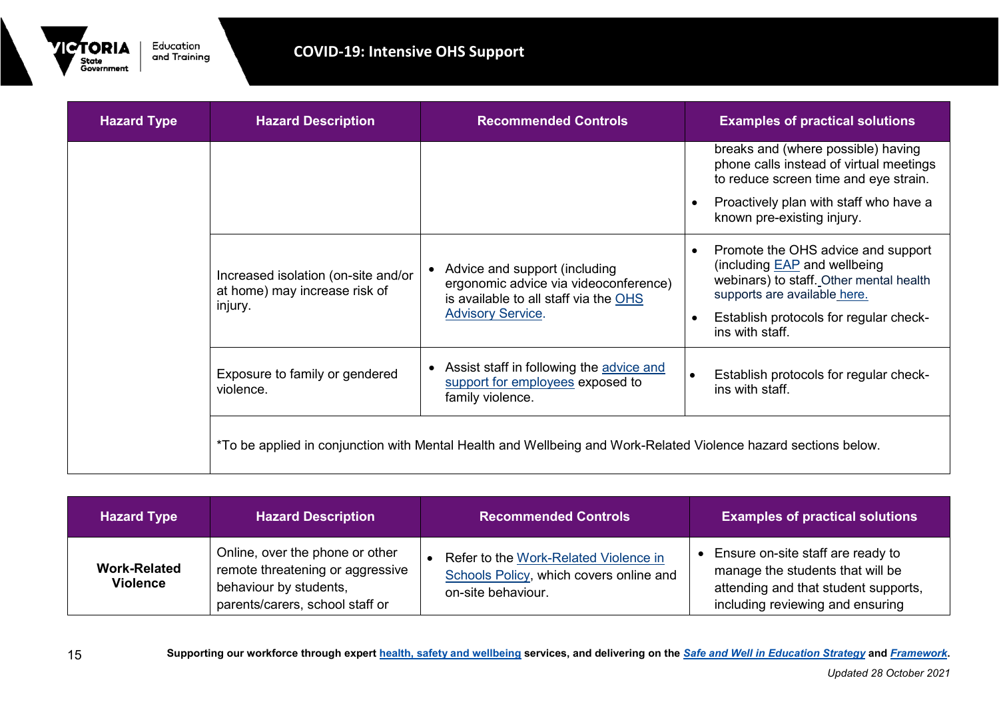

| <b>Hazard Type</b> | <b>Hazard Description</b>                                                       | <b>Recommended Controls</b>                                                                                       | <b>Examples of practical solutions</b>                                                                                                               |
|--------------------|---------------------------------------------------------------------------------|-------------------------------------------------------------------------------------------------------------------|------------------------------------------------------------------------------------------------------------------------------------------------------|
|                    |                                                                                 |                                                                                                                   | breaks and (where possible) having<br>phone calls instead of virtual meetings<br>to reduce screen time and eye strain.                               |
|                    |                                                                                 |                                                                                                                   | Proactively plan with staff who have a<br>known pre-existing injury.                                                                                 |
|                    | Increased isolation (on-site and/or<br>at home) may increase risk of<br>injury. | • Advice and support (including<br>ergonomic advice via videoconference)<br>is available to all staff via the OHS | Promote the OHS advice and support<br>(including <b>EAP</b> and wellbeing<br>webinars) to staff. Other mental health<br>supports are available here. |
|                    |                                                                                 | <b>Advisory Service.</b>                                                                                          | Establish protocols for regular check-<br>ins with staff.                                                                                            |
|                    | Exposure to family or gendered<br>violence.                                     | • Assist staff in following the advice and<br>support for employees exposed to<br>family violence.                | Establish protocols for regular check-<br>ins with staff.                                                                                            |
|                    |                                                                                 | *To be applied in conjunction with Mental Health and Wellbeing and Work-Related Violence hazard sections below.   |                                                                                                                                                      |

| <b>Hazard Type</b>                     | <b>Hazard Description</b>                                                                                                        | <b>Recommended Controls</b>                                                                            | <b>Examples of practical solutions</b>                                                                                                            |
|----------------------------------------|----------------------------------------------------------------------------------------------------------------------------------|--------------------------------------------------------------------------------------------------------|---------------------------------------------------------------------------------------------------------------------------------------------------|
| <b>Work-Related</b><br><b>Violence</b> | Online, over the phone or other<br>remote threatening or aggressive<br>behaviour by students,<br>parents/carers, school staff or | Refer to the Work-Related Violence in<br>Schools Policy, which covers online and<br>on-site behaviour. | Ensure on-site staff are ready to<br>manage the students that will be<br>attending and that student supports,<br>including reviewing and ensuring |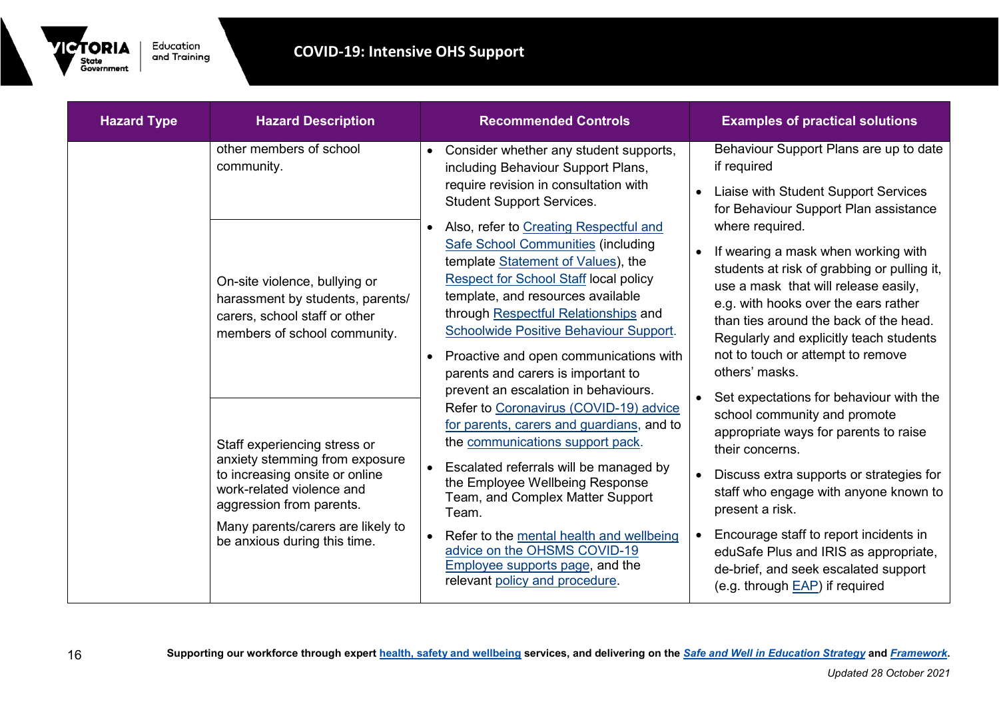

| <b>Hazard Type</b> | <b>Hazard Description</b>                                                                                                                                                                                                      |                        | <b>Recommended Controls</b>                                                                                                                                                                                                                                                                                                                                                                                                                       |                        | <b>Examples of practical solutions</b>                                                                                                                                                                                                                                                                                                                                                                           |
|--------------------|--------------------------------------------------------------------------------------------------------------------------------------------------------------------------------------------------------------------------------|------------------------|---------------------------------------------------------------------------------------------------------------------------------------------------------------------------------------------------------------------------------------------------------------------------------------------------------------------------------------------------------------------------------------------------------------------------------------------------|------------------------|------------------------------------------------------------------------------------------------------------------------------------------------------------------------------------------------------------------------------------------------------------------------------------------------------------------------------------------------------------------------------------------------------------------|
|                    | other members of school<br>community.                                                                                                                                                                                          | $\bullet$              | Consider whether any student supports,<br>including Behaviour Support Plans,<br>require revision in consultation with<br><b>Student Support Services.</b>                                                                                                                                                                                                                                                                                         | $\bullet$              | Behaviour Support Plans are up to date<br>if required<br>Liaise with Student Support Services<br>for Behaviour Support Plan assistance                                                                                                                                                                                                                                                                           |
|                    | On-site violence, bullying or<br>harassment by students, parents/<br>carers, school staff or other<br>members of school community.                                                                                             | $\bullet$<br>$\bullet$ | Also, refer to Creating Respectful and<br><b>Safe School Communities (including</b><br>template Statement of Values), the<br><b>Respect for School Staff local policy</b><br>template, and resources available<br>through Respectful Relationships and<br>Schoolwide Positive Behaviour Support.<br>Proactive and open communications with<br>parents and carers is important to                                                                  | $\bullet$              | where required.<br>If wearing a mask when working with<br>students at risk of grabbing or pulling it,<br>use a mask that will release easily,<br>e.g. with hooks over the ears rather<br>than ties around the back of the head.<br>Regularly and explicitly teach students<br>not to touch or attempt to remove<br>others' masks.                                                                                |
|                    | Staff experiencing stress or<br>anxiety stemming from exposure<br>to increasing onsite or online<br>work-related violence and<br>aggression from parents.<br>Many parents/carers are likely to<br>be anxious during this time. | $\bullet$<br>$\bullet$ | prevent an escalation in behaviours.<br>Refer to Coronavirus (COVID-19) advice<br>for parents, carers and guardians, and to<br>the communications support pack.<br>Escalated referrals will be managed by<br>the Employee Wellbeing Response<br>Team, and Complex Matter Support<br>Team.<br>Refer to the mental health and wellbeing<br>advice on the OHSMS COVID-19<br><b>Employee supports page, and the</b><br>relevant policy and procedure. | $\bullet$<br>$\bullet$ | Set expectations for behaviour with the<br>school community and promote<br>appropriate ways for parents to raise<br>their concerns.<br>Discuss extra supports or strategies for<br>staff who engage with anyone known to<br>present a risk.<br>Encourage staff to report incidents in<br>eduSafe Plus and IRIS as appropriate,<br>de-brief, and seek escalated support<br>(e.g. through <b>EAP</b> ) if required |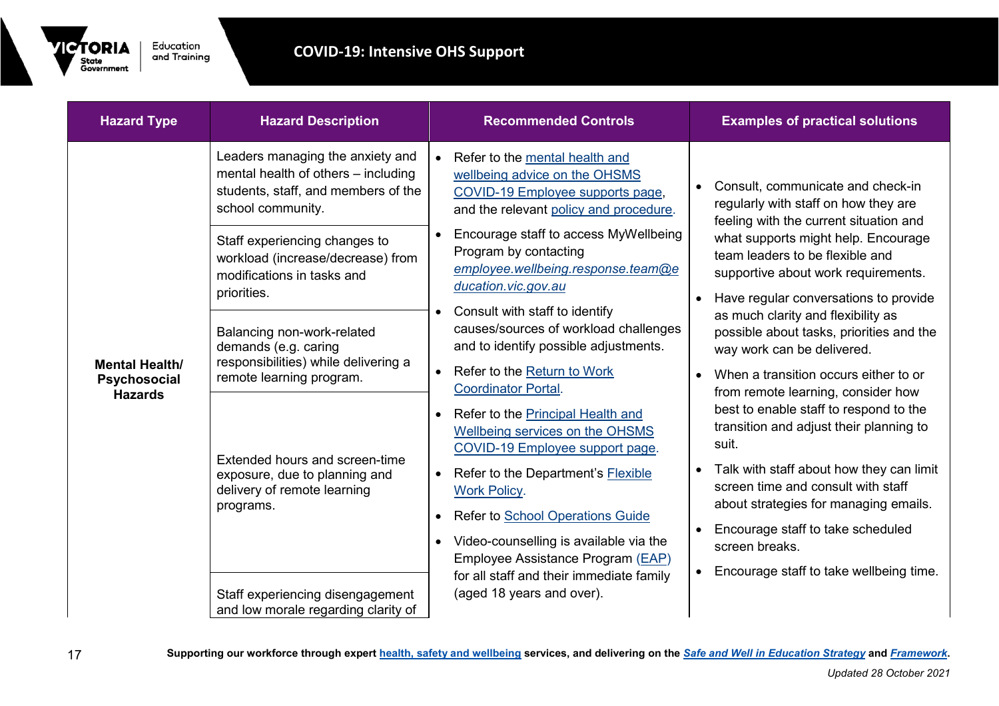

| <b>Hazard Type</b>                                      | <b>Hazard Description</b>                                                                                                                                                                                                                                                                                                                                                                                          | <b>Recommended Controls</b>                                                                                                                                                                                                                                                                                                                                                                                                                                                                                                                                                                                                  | <b>Examples of practical solutions</b>                                                                                                                                                                                                                                                                                                                                                                                                                                                                                                                                                  |
|---------------------------------------------------------|--------------------------------------------------------------------------------------------------------------------------------------------------------------------------------------------------------------------------------------------------------------------------------------------------------------------------------------------------------------------------------------------------------------------|------------------------------------------------------------------------------------------------------------------------------------------------------------------------------------------------------------------------------------------------------------------------------------------------------------------------------------------------------------------------------------------------------------------------------------------------------------------------------------------------------------------------------------------------------------------------------------------------------------------------------|-----------------------------------------------------------------------------------------------------------------------------------------------------------------------------------------------------------------------------------------------------------------------------------------------------------------------------------------------------------------------------------------------------------------------------------------------------------------------------------------------------------------------------------------------------------------------------------------|
| <b>Mental Health/</b><br>Psychosocial<br><b>Hazards</b> | Leaders managing the anxiety and<br>mental health of others - including<br>students, staff, and members of the<br>school community.<br>Staff experiencing changes to<br>workload (increase/decrease) from<br>modifications in tasks and<br>priorities.<br>Balancing non-work-related<br>demands (e.g. caring<br>responsibilities) while delivering a<br>remote learning program.<br>Extended hours and screen-time | Refer to the mental health and<br>$\bullet$<br>wellbeing advice on the OHSMS<br>COVID-19 Employee supports page,<br>and the relevant policy and procedure.<br>Encourage staff to access MyWellbeing<br>Program by contacting<br>employee.wellbeing.response.team@e<br>ducation.vic.gov.au<br>Consult with staff to identify<br>$\bullet$<br>causes/sources of workload challenges<br>and to identify possible adjustments.<br>Refer to the Return to Work<br>$\bullet$<br><b>Coordinator Portal.</b><br>Refer to the Principal Health and<br>$\bullet$<br>Wellbeing services on the OHSMS<br>COVID-19 Employee support page. | Consult, communicate and check-in<br>regularly with staff on how they are<br>feeling with the current situation and<br>what supports might help. Encourage<br>team leaders to be flexible and<br>supportive about work requirements.<br>Have regular conversations to provide<br>$\bullet$<br>as much clarity and flexibility as<br>possible about tasks, priorities and the<br>way work can be delivered.<br>When a transition occurs either to or<br>from remote learning, consider how<br>best to enable staff to respond to the<br>transition and adjust their planning to<br>suit. |
|                                                         | exposure, due to planning and<br>delivery of remote learning<br>programs.                                                                                                                                                                                                                                                                                                                                          | Refer to the Department's Flexible<br>$\bullet$<br><b>Work Policy.</b><br><b>Refer to School Operations Guide</b><br>$\bullet$                                                                                                                                                                                                                                                                                                                                                                                                                                                                                               | Talk with staff about how they can limit<br>$\bullet$<br>screen time and consult with staff<br>about strategies for managing emails.<br>Encourage staff to take scheduled                                                                                                                                                                                                                                                                                                                                                                                                               |
|                                                         | Staff experiencing disengagement<br>and low morale regarding clarity of                                                                                                                                                                                                                                                                                                                                            | Video-counselling is available via the<br>$\bullet$<br>Employee Assistance Program (EAP)<br>for all staff and their immediate family<br>(aged 18 years and over).                                                                                                                                                                                                                                                                                                                                                                                                                                                            | screen breaks.<br>Encourage staff to take wellbeing time.                                                                                                                                                                                                                                                                                                                                                                                                                                                                                                                               |